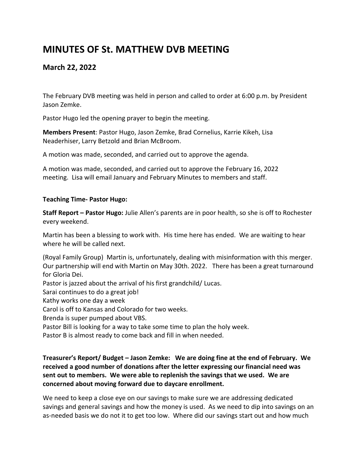# **MINUTES OF St. MATTHEW DVB MEETING**

## **March 22, 2022**

The February DVB meeting was held in person and called to order at 6:00 p.m. by President Jason Zemke.

Pastor Hugo led the opening prayer to begin the meeting.

**Members Present**: Pastor Hugo, Jason Zemke, Brad Cornelius, Karrie Kikeh, Lisa Neaderhiser, Larry Betzold and Brian McBroom.

A motion was made, seconded, and carried out to approve the agenda.

A motion was made, seconded, and carried out to approve the February 16, 2022 meeting. Lisa will email January and February Minutes to members and staff.

## **Teaching Time- Pastor Hugo:**

**Staff Report – Pastor Hugo:** Julie Allen's parents are in poor health, so she is off to Rochester every weekend.

Martin has been a blessing to work with. His time here has ended. We are waiting to hear where he will be called next.

(Royal Family Group) Martin is, unfortunately, dealing with misinformation with this merger. Our partnership will end with Martin on May 30th. 2022. There has been a great turnaround for Gloria Dei.

Pastor is jazzed about the arrival of his first grandchild/ Lucas.

Sarai continues to do a great job!

Kathy works one day a week

Carol is off to Kansas and Colorado for two weeks.

Brenda is super pumped about VBS.

Pastor Bill is looking for a way to take some time to plan the holy week.

Pastor B is almost ready to come back and fill in when needed.

## **Treasurer's Report/ Budget – Jason Zemke: We are doing fine at the end of February. We received a good number of donations after the letter expressing our financial need was sent out to members. We were able to replenish the savings that we used. We are concerned about moving forward due to daycare enrollment.**

We need to keep a close eye on our savings to make sure we are addressing dedicated savings and general savings and how the money is used. As we need to dip into savings on an as-needed basis we do not it to get too low. Where did our savings start out and how much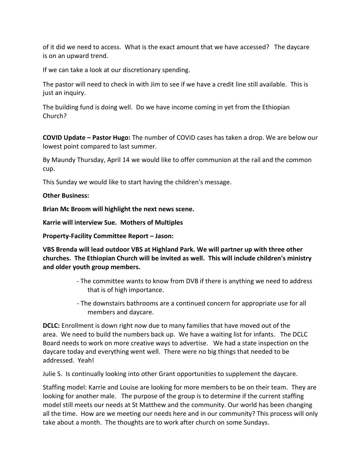of it did we need to access. What is the exact amount that we have accessed? The daycare is on an upward trend.

If we can take a look at our discretionary spending.

The pastor will need to check in with Jim to see if we have a credit line still available. This is just an inquiry.

The building fund is doing well. Do we have income coming in yet from the Ethiopian Church?

**COVID Update – Pastor Hugo:** The number of COVID cases has taken a drop. We are below our lowest point compared to last summer.

By Maundy Thursday, April 14 we would like to offer communion at the rail and the common cup.

This Sunday we would like to start having the children's message.

## **Other Business:**

**Brian Mc Broom will highlight the next news scene.**

**Karrie will interview Sue. Mothers of Multiples**

**Property-Facility Committee Report – Jason:**

**VBS Brenda will lead outdoor VBS at Highland Park. We will partner up with three other churches. The Ethiopian Church will be invited as well. This will include children's ministry and older youth group members.**

- The committee wants to know from DVB if there is anything we need to address that is of high importance.
- The downstairs bathrooms are a continued concern for appropriate use for all members and daycare.

**DCLC:** Enrollment is down right now due to many families that have moved out of the area. We need to build the numbers back up. We have a waiting list for infants. The DCLC Board needs to work on more creative ways to advertise. We had a state inspection on the daycare today and everything went well. There were no big things that needed to be addressed. Yeah!

Julie S. Is continually looking into other Grant opportunities to supplement the daycare.

Staffing model: Karrie and Louise are looking for more members to be on their team. They are looking for another male. The purpose of the group is to determine if the current staffing model still meets our needs at St Matthew and the community. Our world has been changing all the time. How are we meeting our needs here and in our community? This process will only take about a month. The thoughts are to work after church on some Sundays.